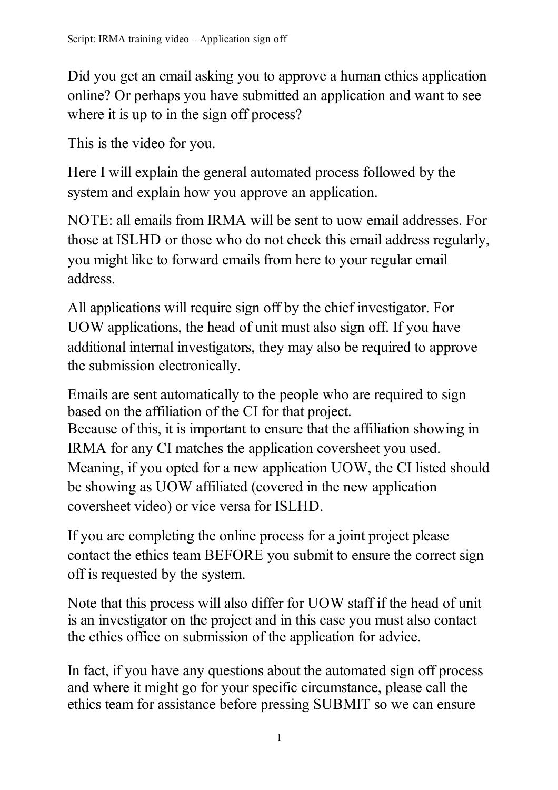Did you get an email asking you to approve a human ethics application online? Or perhaps you have submitted an application and want to see where it is up to in the sign off process?

This is the video for you.

Here I will explain the general automated process followed by the system and explain how you approve an application.

NOTE: all emails from IRMA will be sent to uow email addresses. For those at ISLHD or those who do not check this email address regularly, you might like to forward emails from here to your regular email address.

All applications will require sign off by the chief investigator. For UOW applications, the head of unit must also sign off. If you have additional internal investigators, they may also be required to approve the submission electronically.

Emails are sent automatically to the people who are required to sign based on the affiliation of the CI for that project. Because of this, it is important to ensure that the affiliation showing in IRMA for any CI matches the application coversheet you used. Meaning, if you opted for a new application UOW, the CI listed should be showing as UOW affiliated (covered in the new application coversheet video) or vice versa for ISLHD.

If you are completing the online process for a joint project please contact the ethics team BEFORE you submit to ensure the correct sign off is requested by the system.

Note that this process will also differ for UOW staff if the head of unit is an investigator on the project and in this case you must also contact the ethics office on submission of the application for advice.

In fact, if you have any questions about the automated sign off process and where it might go for your specific circumstance, please call the ethics team for assistance before pressing SUBMIT so we can ensure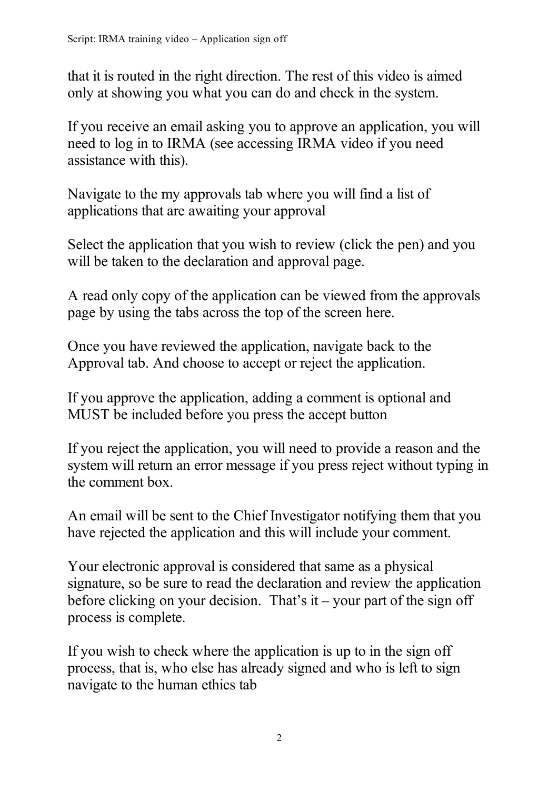that it is routed in the right direction. The rest of this video is aimed only at showing you what you can do and check in the system.

If you receive an email asking you to approve an application, you will need to log in to IRMA (see accessing IRMA video if you need assistance with this).

Navigate to the my approvals tab where you will find a list of applications that are awaiting your approval

Select the application that you wish to review (click the pen) and you will be taken to the declaration and approval page.

A read only copy of the application can be viewed from the approvals page by using the tabs across the top of the screen here.

Once you have reviewed the application, navigate back to the Approval tab. And choose to accept or reject the application.

If you approve the application, adding a comment is optional and MUST be included before you press the accept button

If you reject the application, you will need to provide a reason and the system will return an error message if you press reject without typing in the comment box.

An email will be sent to the Chief Investigator notifying them that you have rejected the application and this will include your comment.

Your electronic approval is considered that same as a physical signature, so be sure to read the declaration and review the application before clicking on your decision. That's it – your part of the sign off process is complete.

If you wish to check where the application is up to in the sign off process, that is, who else has already signed and who is left to sign navigate to the human ethics tab